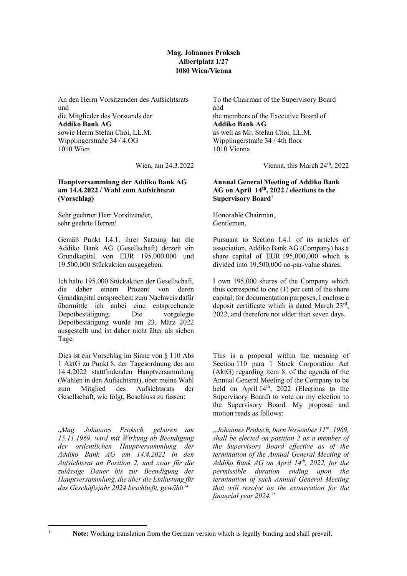## **Mag. Johannes Proksch Albertplatz 1/27 1080 Wien/Vienna**

An den Herrn Vorsitzenden des Aufsichtsrats und die Mitglieder des Vorstands der **Addiko Bank AG** sowie Herrn Stefan Choi, LL.M. Wipplingerstraße 34 / 4.OG 1010 Wien

## **Hauptversammlung der Addiko Bank AG am 14.4.2022 / Wahl zum Aufsichtsrat (Vorschlag)**

Sehr geehrter Herr Vorsitzender, sehr geehrte Herren!

Gemäß Punkt I.4.1. ihrer Satzung hat die Addiko Bank AG (Gesellschaft) derzeit ein Grundkapital von EUR 195.000.000 und 19.500.000 Stückaktien ausgegeben.

Ich halte 195.000 Stückaktien der Gesellschaft, die daher einem Prozent von deren Grundkapital entsprechen; zum Nachweis dafür übermittle ich anbei eine entsprechende Depotbestätigung. Die vorgelegte Depotbestätigung wurde am 23. März 2022 ausgestellt und ist daher nicht älter als sieben Tage.

Dies ist ein Vorschlag im Sinne von § 110 Abs 1 AktG zu Punkt 8. der Tagesordnung der am 14.4.2022 stattfindenden Hauptversammlung (Wahlen in den Aufsichtsrat), über meine Wahl zum Mitglied des Aufsichtsrats der Gesellschaft, wie folgt, Beschluss zu fassen:

"*Mag. Johannes Proksch, geboren am 15.11.1969, wird mit Wirkung ab Beendigung der ordentlichen Hauptversammlung der Addiko Bank AG am 14.4.2022 in den Aufsichtsrat an Position 2, und zwar für die zulässige Dauer bis zur Beendigung der Hauptversammlung, die über die Entlastung für das Geschäftsjahr 2024 beschließt, gewählt.*"

To the Chairman of the Supervisory Board and the members of the Executive Board of **Addiko Bank AG** as well as Mr. Stefan Choi, LL.M. Wipplingerstraße 34 / 4th floor 1010 Vienna

Wien, am  $24.3.2022$  Vienna, this March  $24<sup>th</sup>$ ,  $2022$ 

## **Annual General Meeting of Addiko Bank AG on April 14th, 2022 / elections to the Supervisory Board**<sup>1</sup>

Honorable Chairman, Gentlemen,

Pursuant to Section I.4.1 of its articles of association, Addiko Bank AG (Company) has a share capital of EUR 195,000,000 which is divided into 19,500,000 no-par-value shares.

I own 195,000 shares of the Company which thus correspond to one (1) per cent of the share capital; for documentation purposes, I enclose a deposit certificate which is dated March 23rd, 2022, and therefore not older than seven days.

This is a proposal within the meaning of Section 110 para 1 Stock Corporation Act (AktG) regarding item 8. of the agenda of the Annual General Meeting of the Company to be held on April  $14<sup>th</sup>$ , 2022 (Elections to the Supervisory Board) to vote on my election to the Supervisory Board. My proposal and motion reads as follows:

*"Johannes Proksch, born November 11th, 1969, shall be elected on position 2 as a member of the Supervisory Board effective as of the termination of the Annual General Meeting of Addiko Bank AG on April 14th, 2022, for the permissible duration ending upon the termination of such Annual General Meeting that will resolve on the exoneration for the financial year 2024."*

<sup>&</sup>lt;sup>1</sup> **Note:** Working translation from the German version which is legally binding and shall prevail.